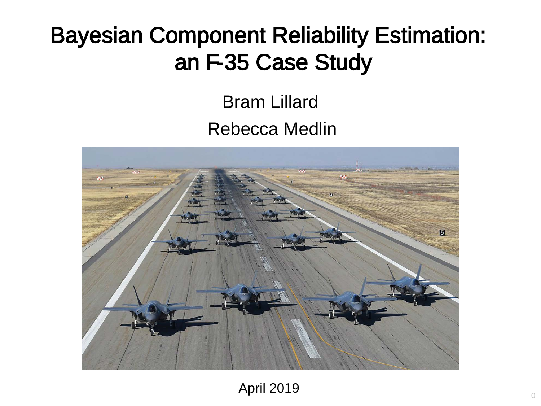# Bayesian Component Reliability Estimation: an F-35 Case Study

#### Bram Lillard Rebecca Medlin



April 2019 <sup>0</sup>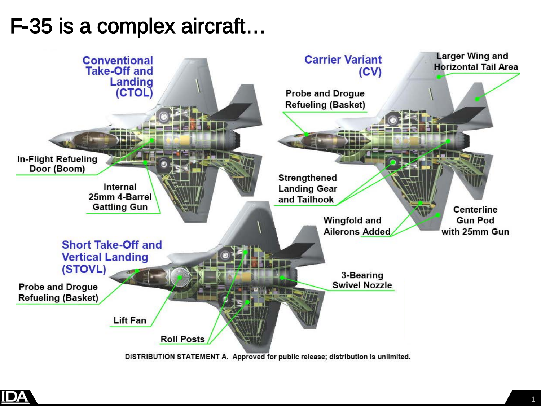#### F-35 is a complex aircraft…



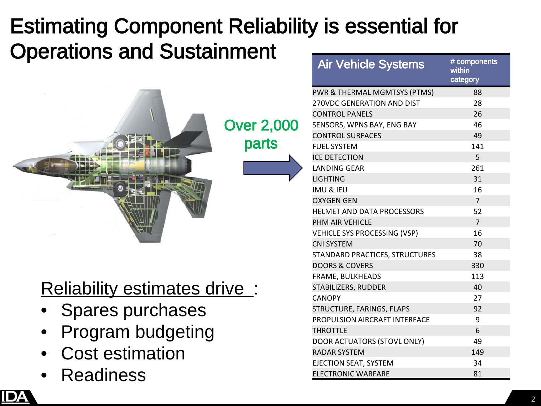# Estimating Component Reliability is essential for Operations and Sustainment



Reliability estimates drive:

- Spares purchases
- Program budgeting
- Cost estimation
- **Readiness**

Air Vehicle Systems # components within category PWR & THERMAL MGMTSYS (PTMS) 88 270VDC GENERATION AND DIST 28 CONTROL PANELS 26 SENSORS, WPNS BAY, ENG BAY 46 CONTROL SURFACES 49 FUEL SYSTEM 141 **ICE DETECTION** 5 LANDING GEAR 261 LIGHTING 31  $IMU$  & IFU  $16$ OXYGEN GEN 7 HELMET AND DATA PROCESSORS 52 PHM AIR VEHICLE 7 VEHICLE SYS PROCESSING (VSP) 16 CNI SYSTEM 70 STANDARD PRACTICES, STRUCTURES 38 DOORS & COVERS **330** FRAME, BULKHEADS 113 STABILIZERS, RUDDER 40 CANOPY 27 STRUCTURE, FARINGS, FLAPS 92 PROPULSION AIRCRAFT INTERFACE 9 THROTTLE 6 DOOR ACTUATORS (STOVL ONLY) 49 RADAR SYSTEM 149 EJECTION SEAT, SYSTEM 34 ELECTRONIC WARFARE 81

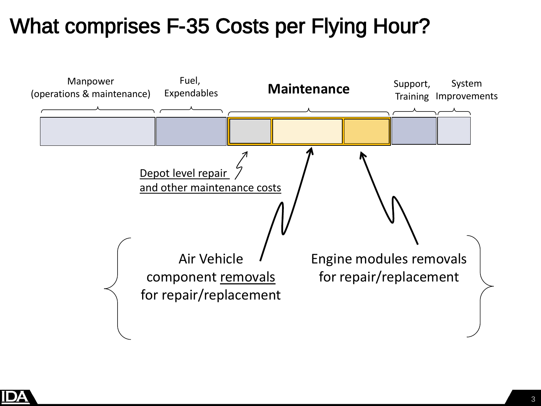

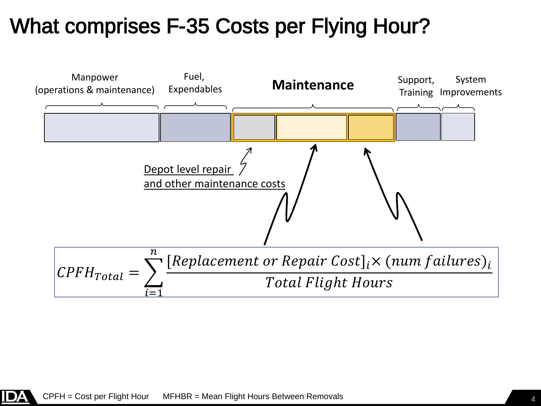

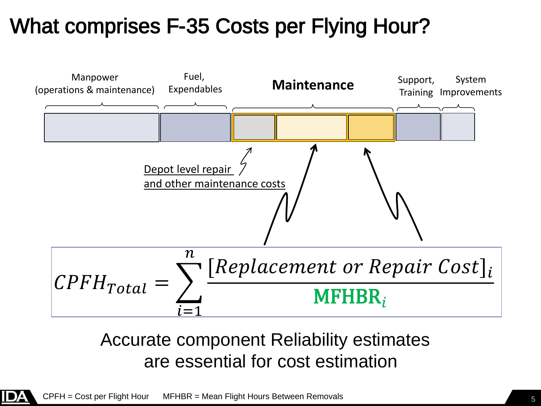

#### Accurate component Reliability estimates are essential for cost estimation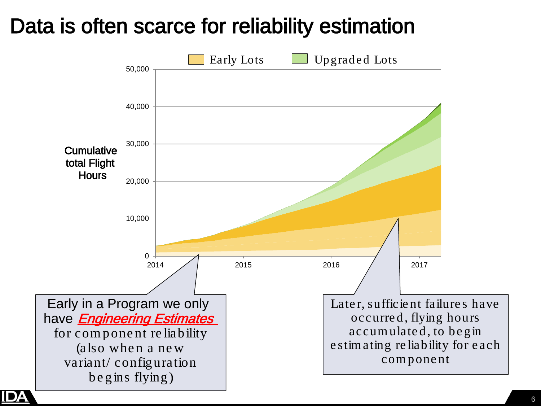#### Data is often scarce for reliability estimation

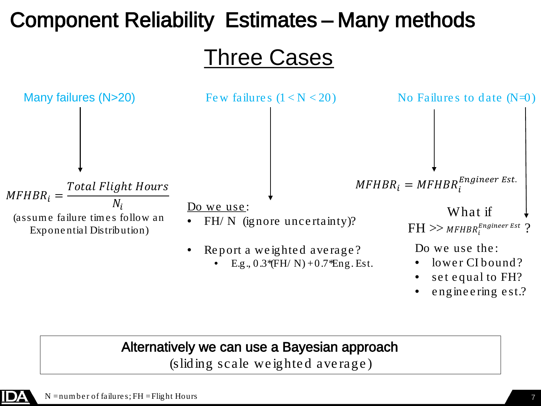# Component Reliability Estimates – Many methods

Three Cases



#### Alternatively we can use a Bayesian approach

(sliding scale we ighte d ave rage )

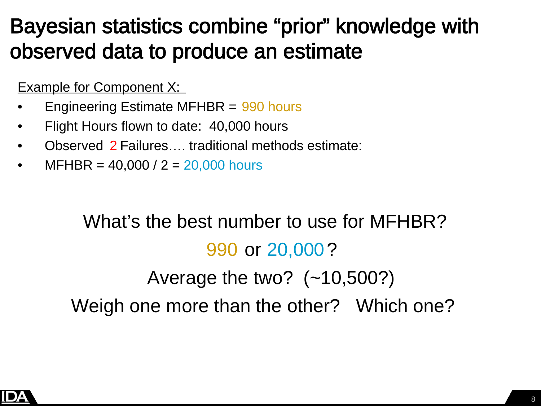### Bayesian statistics combine "prior" knowledge with observed data to produce an estimate

Example for Component X:

- Engineering Estimate MFHBR = 990 hours
- Flight Hours flown to date: 40,000 hours
- Observed 2 Failures…. traditional methods estimate:
- $MFHBR = 40,000 / 2 = 20,000$  hours

# What's the best number to use for MFHBR? 990 or 20,000? Average the two? (~10,500?) Weigh one more than the other? Which one?

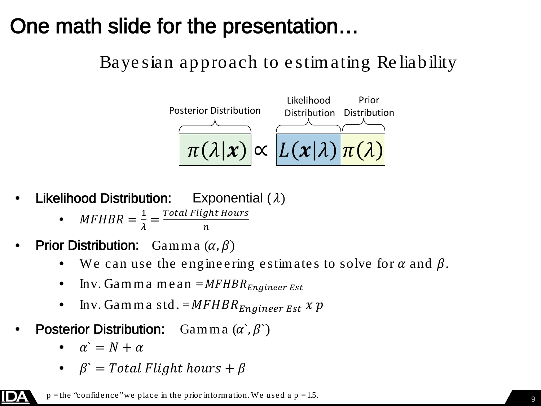### One math slide for the presentation…

#### Baye sian approach to e stim ating Re liability



- **Likelihood Distribution:** Exponential  $(\lambda)$ 
	- $MFHBR = \frac{1}{\lambda}$  $\frac{1}{\lambda} = \frac{Total \, Flight \, Hou}{n}$  $\boldsymbol{n}$
- **Prior Distribution:** Gamma  $(\alpha, \beta)$ 
	- We can use the engineering estimates to solve for  $\alpha$  and  $\beta$ .
	- Inv. Gamma me an  $=MFHBR_{Engineering}$
	- Inv. Gamma std.  $=MFHBR_{Engineering}$  Est  $x p$
- **Posterior Distribution:** Gamma  $(\alpha, \beta)$ 
	- $\alpha' = N + \alpha$

DA

•  $\beta$  = Total Flight hours +  $\beta$ 

 $p =$ the "confidence" we place in the prior information. We used a  $p = 1.5$ .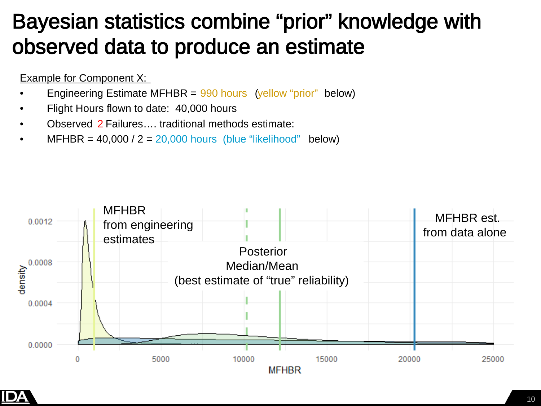### Bayesian statistics combine "prior" knowledge with observed data to produce an estimate

#### Example for Component X:

- Engineering Estimate MFHBR = 990 hours (yellow "prior" below)
- Flight Hours flown to date: 40,000 hours
- Observed 2 Failures…. traditional methods estimate:
- $MFHBR = 40,000 / 2 = 20,000$  hours (blue "likelihood" below)



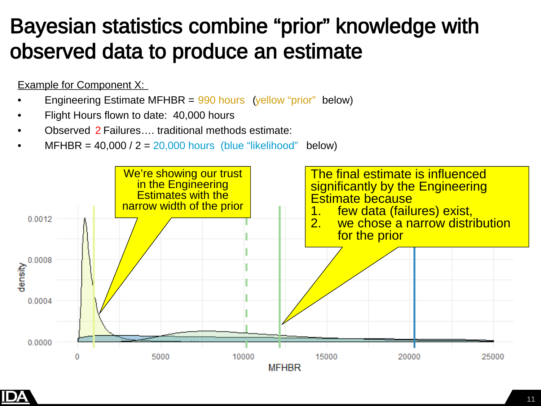### Bayesian statistics combine "prior" knowledge with observed data to produce an estimate

#### Example for Component X:

- Engineering Estimate MFHBR = 990 hours (yellow "prior" below)
- Flight Hours flown to date: 40,000 hours
- Observed 2 Failures…. traditional methods estimate:
- $MFHBR = 40,000 / 2 = 20,000$  hours (blue "likelihood" below)



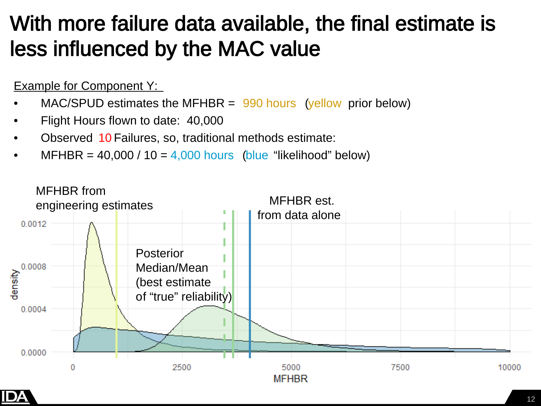### With more failure data available, the final estimate is less influenced by the MAC value

#### Example for Component Y:

- $MAC/SPUD$  estimates the MFHBR =  $990$  hours (yellow prior below)
- Flight Hours flown to date: 40,000
- Observed 10 Failures, so, traditional methods estimate:
- MFHBR =  $40,000 / 10 = 4,000$  hours (blue "likelihood" below)



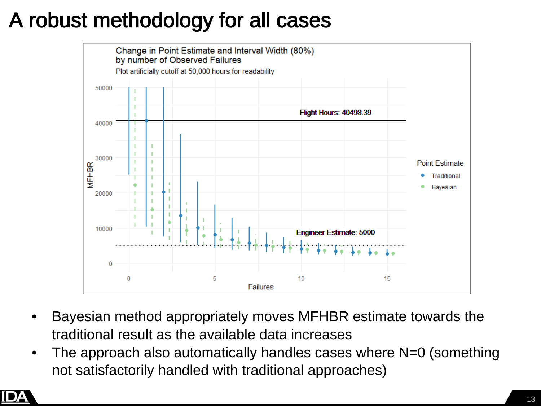# A robust methodology for all cases



- Bayesian method appropriately moves MFHBR estimate towards the traditional result as the available data increases
- The approach also automatically handles cases where N=0 (something not satisfactorily handled with traditional approaches)

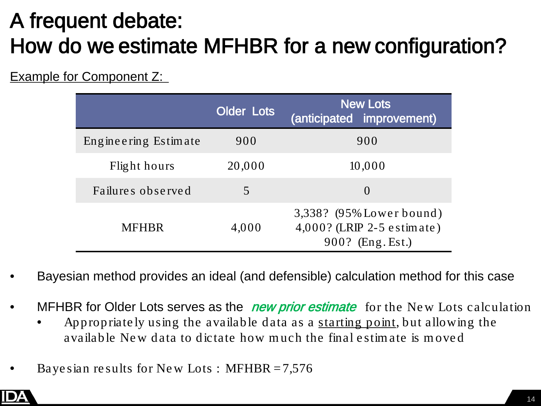# A frequent debate: How do we estimate MFHBR for a new configuration?

Example for Component Z:

|                      | <b>Older Lots</b> | <b>New Lots</b><br>(anticipated improvement)                                   |
|----------------------|-------------------|--------------------------------------------------------------------------------|
| Engineering Estimate | 900               | 900                                                                            |
| Flight hours         | 20,000            | 10,000                                                                         |
| Failures observed    | 5.                | $\Omega$                                                                       |
| <b>MFHBR</b>         | 4,000             | 3,338? (95% Lower bound)<br>$4,000$ ? (LRIP 2-5 e stimate)<br>900? (Eng. Est.) |

- Bayesian method provides an ideal (and defensible) calculation method for this case
- MFHBR for Older Lots serves as the *new prior estimate* for the New Lots calculation
	- Appropriate ly using the available data as a starting point, but allowing the available Ne w data to dictate how m uch the final e stim ate is m ove d
- Baye sian results for New Lots : MFHBR  $= 7,576$

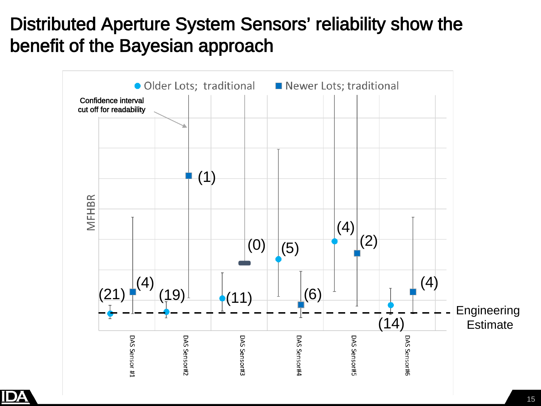

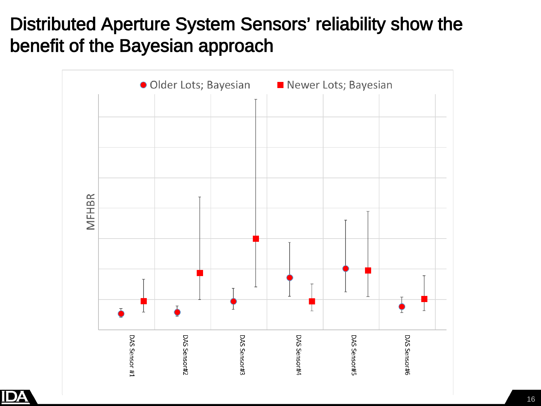

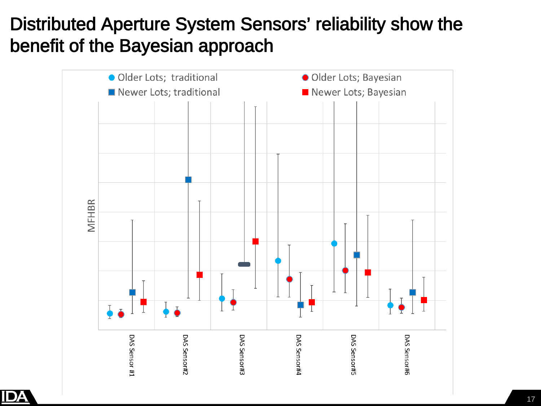

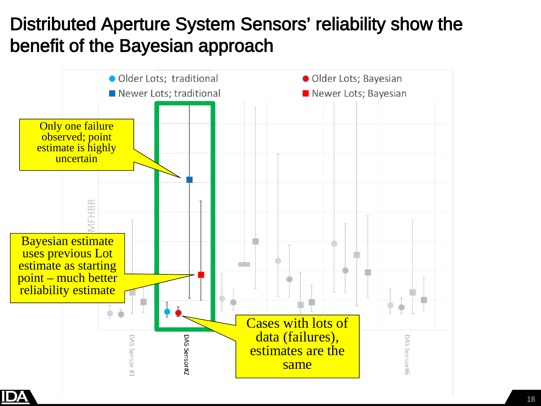

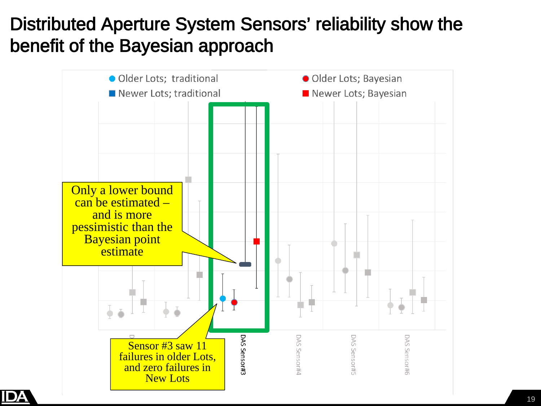

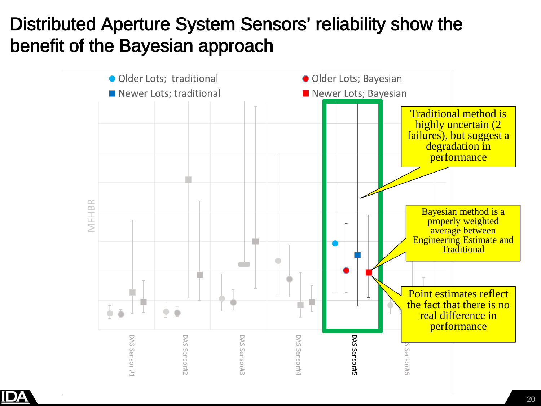

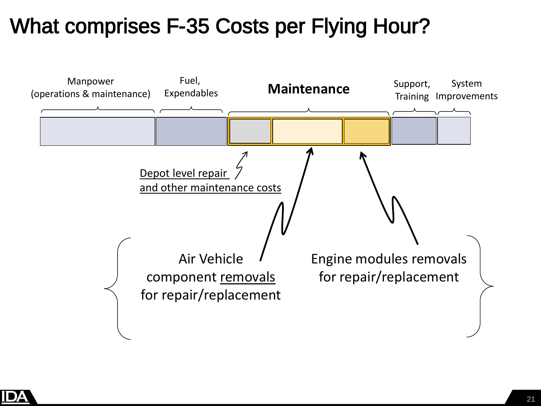

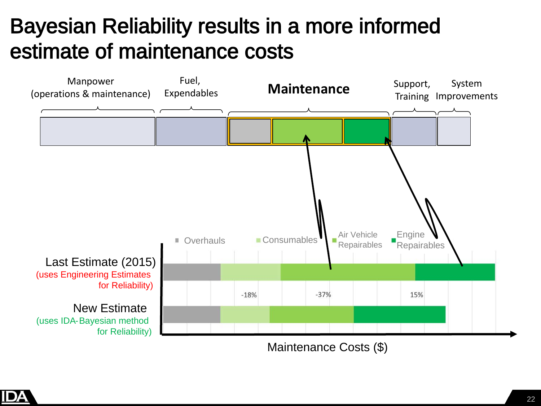## Bayesian Reliability results in a more informed estimate of maintenance costs



Maintenance Costs (\$)